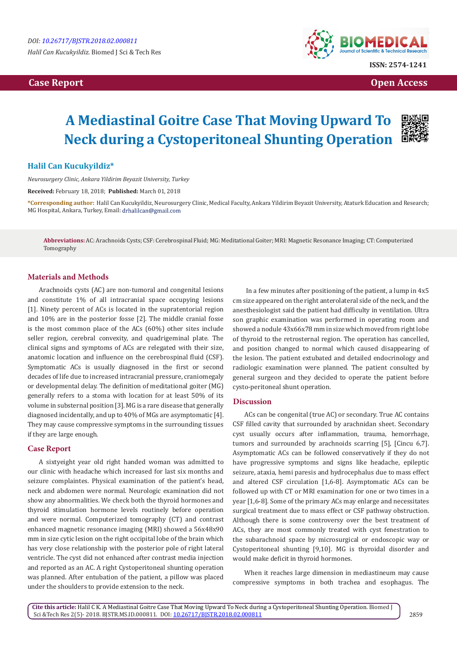# **Case Report Case Report Case Access**  $\alpha$  **Case Report** Case **Open Access Open Access**



# **A Mediastinal Goitre Case That Moving Upward To Neck during a Cystoperitoneal Shunting Operation**



# **Halil Can Kucukyildiz\***

*Neurosurgery Clinic, Ankara Yildirim Beyazit University, Turkey*

**Received:** February 18, 2018; **Published:** March 01, 2018

**\*Corresponding author:** Halil Can Kucukyildiz, Neurosurgery Clinic, Medical Faculty, Ankara Yildirim Beyazit University, Ataturk Education and Research; MG Hospital, Ankara, Turkey, Email: drhalilcan@gmail.com

**Abbreviations:** AC: Arachnoids Cysts; CSF: Cerebrospinal Fluid; MG: Meditational Goiter; MRI: Magnetic Resonance Imaging; CT: Computerized Tomography

#### **Materials and Methods**

Arachnoids cysts (AC) are non-tumoral and congenital lesions and constitute 1% of all intracranial space occupying lesions [1]. Ninety percent of ACs is located in the supratentorial region and 10% are in the posterior fosse [2]. The middle cranial fosse is the most common place of the ACs (60%) other sites include seller region, cerebral convexity, and quadrigeminal plate. The clinical signs and symptoms of ACs are relegated with their size, anatomic location and influence on the cerebrospinal fluid (CSF). Symptomatic ACs is usually diagnosed in the first or second decades of life due to increased intracranial pressure, craniomegaly or developmental delay. The definition of meditational goiter (MG) generally refers to a stoma with location for at least 50% of its volume in substernal position [3]. MG is a rare disease that generally diagnosed incidentally, and up to 40% of MGs are asymptomatic [4]. They may cause compressive symptoms in the surrounding tissues if they are large enough.

# **Case Report**

A sixtyeight year old right handed woman was admitted to our clinic with headache which increased for last six months and seizure complaintes. Physical examination of the patient's head, neck and abdomen were normal. Neurologic examination did not show any abnormalities. We check both the thyroid hormones and thyroid stimulation hormone levels routinely before operation and were normal. Computerized tomography (CT) and contrast enhanced magnetic resonance imaging (MRI) showed a 56x48x90 mm in size cytic lesion on the right occipital lobe of the brain which has very close relationship with the posterior pole of right lateral ventricle. The cyst did not enhanced after contrast media injection and reported as an AC. A right Cystoperitoneal shunting operation was planned. After entubation of the patient, a pillow was placed under the shoulders to provide extension to the neck.

 In a few minutes after positioning of the patient, a lump in 4x5 cm size appeared on the right anterolateral side of the neck, and the anesthesiologist said the patient had difficulty in ventilation. Ultra son graphic examination was performed in operating room and showed a nodule 43x66x78 mm in size which moved from right lobe of thyroid to the retrosternal region. The operation has cancelled, and position changed to normal which caused disappearing of the lesion. The patient extubated and detailed endocrinology and radiologic examination were planned. The patient consulted by general surgeon and they decided to operate the patient before cysto-peritoneal shunt operation.

### **Discussion**

ACs can be congenital (true AC) or secondary. True AC contains CSF filled cavity that surrounded by arachnidan sheet. Secondary cyst usually occurs after inflammation, trauma, hemorrhage, tumors and surrounded by arachnoids scarring [5], [Cincu 6,7]. Asymptomatic ACs can be followed conservatively if they do not have progressive symptoms and signs like headache, epileptic seizure, ataxia, hemi paresis and hydrocephalus due to mass effect and altered CSF circulation [1,6-8]. Asymptomatic ACs can be followed up with CT or MRI examination for one or two times in a year [1,6-8]. Some of the primary ACs may enlarge and necessitates surgical treatment due to mass effect or CSF pathway obstruction. Although there is some controversy over the best treatment of ACs, they are most commonly treated with cyst fenestration to the subarachnoid space by microsurgical or endoscopic way or Cystoperitoneal shunting [9,10]. MG is thyroidal disorder and would make deficit in thyroid hormones.

When it reaches large dimension in mediastineum may cause compressive symptoms in both trachea and esophagus. The